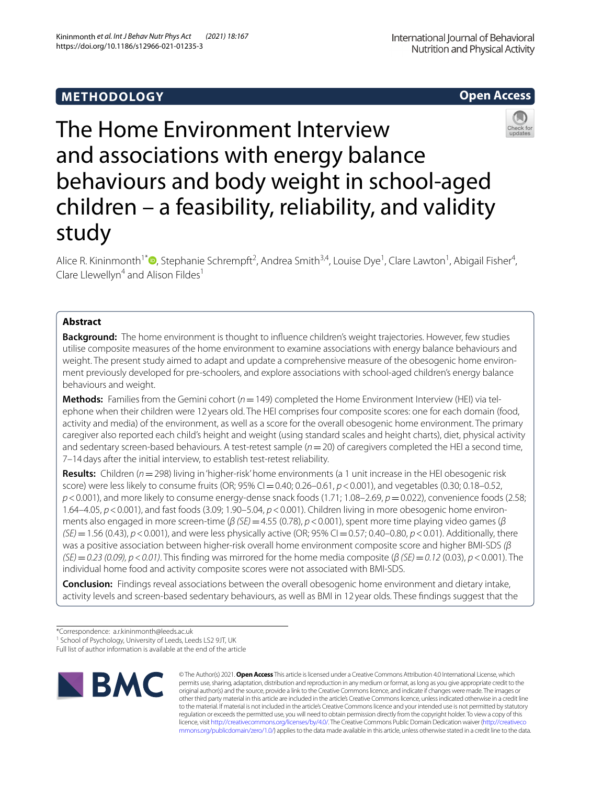# **METHODOLOGY**





The Home Environment Interview and associations with energy balance behaviours and body weight in school-aged children – a feasibility, reliability, and validity study

Alice R. Kininmonth<sup>1\*</sup><sup>®</sup>[,](http://orcid.org/0000-0002-1145-525X) Stephanie Schrempft<sup>2</sup>, Andrea Smith<sup>3,4</sup>, Louise Dye<sup>1</sup>, Clare Lawton<sup>1</sup>, Abigail Fisher<sup>4</sup>, Clare Llewellyn<sup>4</sup> and Alison Fildes<sup>1</sup>

## **Abstract**

**Background:** The home environment is thought to infuence children's weight trajectories. However, few studies utilise composite measures of the home environment to examine associations with energy balance behaviours and weight. The present study aimed to adapt and update a comprehensive measure of the obesogenic home environment previously developed for pre-schoolers, and explore associations with school-aged children's energy balance behaviours and weight.

**Methods:** Families from the Gemini cohort (*n*=149) completed the Home Environment Interview (HEI) via telephone when their children were 12 years old. The HEI comprises four composite scores: one for each domain (food, activity and media) of the environment, as well as a score for the overall obesogenic home environment. The primary caregiver also reported each child's height and weight (using standard scales and height charts), diet, physical activity and sedentary screen-based behaviours. A test-retest sample (*n*=20) of caregivers completed the HEI a second time, 7–14days after the initial interview, to establish test-retest reliability.

**Results:** Children (*n*=298) living in 'higher-risk' home environments (a 1 unit increase in the HEI obesogenic risk score) were less likely to consume fruits (OR; 95% CI = 0.40; 0.26–0.61,  $p < 0.001$ ), and vegetables (0.30; 0.18–0.52, *p*<0.001), and more likely to consume energy-dense snack foods (1.71; 1.08–2.69, *p*=0.022), convenience foods (2.58; 1.64–4.05, *p*<0.001), and fast foods (3.09; 1.90–5.04, *p*<0.001). Children living in more obesogenic home environments also engaged in more screen-time (*β (SE)*=4.55 (0.78), *p*<0.001), spent more time playing video games (*β (SE)*=1.56 (0.43), *p*<0.001), and were less physically active (OR; 95% CI=0.57; 0.40–0.80, *p*<0.01). Additionally, there was a positive association between higher-risk overall home environment composite score and higher BMI-SDS *(β (SE)*=*0.23 (0.09), p<0.01)*. This fnding was mirrored for the home media composite (*β (SE)*=*0.12* (0.03), *p*<0.001). The individual home food and activity composite scores were not associated with BMI-SDS.

**Conclusion:** Findings reveal associations between the overall obesogenic home environment and dietary intake, activity levels and screen-based sedentary behaviours, as well as BMI in 12 year olds. These fndings suggest that the

Full list of author information is available at the end of the article



© The Author(s) 2021. **Open Access** This article is licensed under a Creative Commons Attribution 4.0 International License, which permits use, sharing, adaptation, distribution and reproduction in any medium or format, as long as you give appropriate credit to the original author(s) and the source, provide a link to the Creative Commons licence, and indicate if changes were made. The images or other third party material in this article are included in the article's Creative Commons licence, unless indicated otherwise in a credit line to the material. If material is not included in the article's Creative Commons licence and your intended use is not permitted by statutory regulation or exceeds the permitted use, you will need to obtain permission directly from the copyright holder. To view a copy of this licence, visit [http://creativecommons.org/licenses/by/4.0/.](http://creativecommons.org/licenses/by/4.0/) The Creative Commons Public Domain Dedication waiver ([http://creativeco](http://creativecommons.org/publicdomain/zero/1.0/) [mmons.org/publicdomain/zero/1.0/](http://creativecommons.org/publicdomain/zero/1.0/)) applies to the data made available in this article, unless otherwise stated in a credit line to the data.

<sup>\*</sup>Correspondence: a.r.kininmonth@leeds.ac.uk

<sup>&</sup>lt;sup>1</sup> School of Psychology, University of Leeds, Leeds LS2 9JT, UK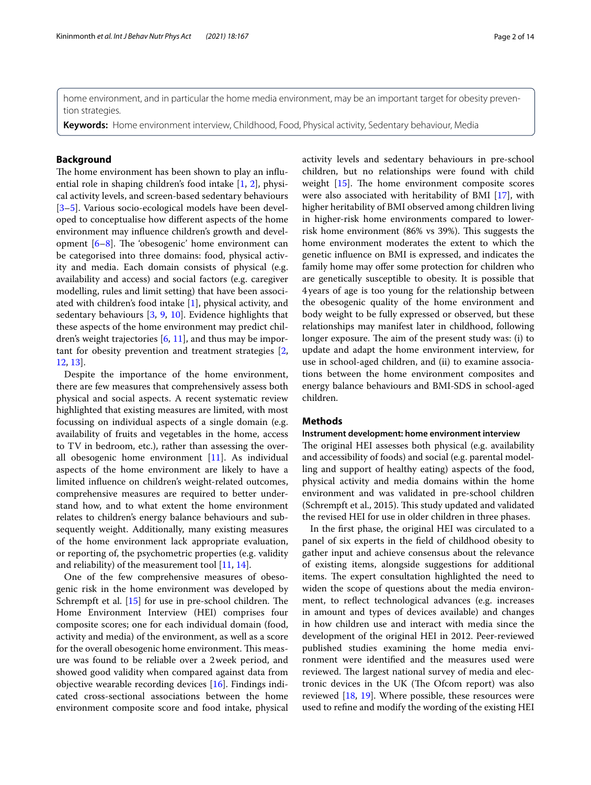home environment, and in particular the home media environment, may be an important target for obesity prevention strategies.

**Keywords:** Home environment interview, Childhood, Food, Physical activity, Sedentary behaviour, Media

## **Background**

The home environment has been shown to play an influential role in shaping children's food intake [[1,](#page-11-0) [2\]](#page-11-1), physical activity levels, and screen-based sedentary behaviours [[3–](#page-11-2)[5\]](#page-11-3). Various socio-ecological models have been developed to conceptualise how diferent aspects of the home environment may infuence children's growth and development  $[6-8]$  $[6-8]$ . The 'obesogenic' home environment can be categorised into three domains: food, physical activity and media. Each domain consists of physical (e.g. availability and access) and social factors (e.g. caregiver modelling, rules and limit setting) that have been associated with children's food intake [[1\]](#page-11-0), physical activity, and sedentary behaviours [\[3,](#page-11-2) [9](#page-12-2), [10\]](#page-12-3). Evidence highlights that these aspects of the home environment may predict children's weight trajectories [[6,](#page-12-0) [11](#page-12-4)], and thus may be important for obesity prevention and treatment strategies [\[2](#page-11-1), [12,](#page-12-5) [13\]](#page-12-6).

Despite the importance of the home environment, there are few measures that comprehensively assess both physical and social aspects. A recent systematic review highlighted that existing measures are limited, with most focussing on individual aspects of a single domain (e.g. availability of fruits and vegetables in the home, access to TV in bedroom, etc.), rather than assessing the overall obesogenic home environment [[11](#page-12-4)]. As individual aspects of the home environment are likely to have a limited infuence on children's weight-related outcomes, comprehensive measures are required to better understand how, and to what extent the home environment relates to children's energy balance behaviours and subsequently weight. Additionally, many existing measures of the home environment lack appropriate evaluation, or reporting of, the psychometric properties (e.g. validity and reliability) of the measurement tool [[11,](#page-12-4) [14\]](#page-12-7).

One of the few comprehensive measures of obesogenic risk in the home environment was developed by Schrempft et al.  $[15]$  $[15]$  for use in pre-school children. The Home Environment Interview (HEI) comprises four composite scores; one for each individual domain (food, activity and media) of the environment, as well as a score for the overall obesogenic home environment. This measure was found to be reliable over a 2week period, and showed good validity when compared against data from objective wearable recording devices [[16](#page-12-9)]. Findings indicated cross-sectional associations between the home environment composite score and food intake, physical activity levels and sedentary behaviours in pre-school children, but no relationships were found with child weight  $[15]$ . The home environment composite scores were also associated with heritability of BMI [\[17](#page-12-10)], with higher heritability of BMI observed among children living in higher-risk home environments compared to lowerrisk home environment (86% vs 39%). This suggests the home environment moderates the extent to which the genetic infuence on BMI is expressed, and indicates the family home may offer some protection for children who are genetically susceptible to obesity. It is possible that 4years of age is too young for the relationship between the obesogenic quality of the home environment and body weight to be fully expressed or observed, but these relationships may manifest later in childhood, following longer exposure. The aim of the present study was: (i) to update and adapt the home environment interview, for use in school-aged children, and (ii) to examine associations between the home environment composites and energy balance behaviours and BMI-SDS in school-aged children.

## **Methods**

#### **Instrument development: home environment interview**

The original HEI assesses both physical (e.g. availability and accessibility of foods) and social (e.g. parental modelling and support of healthy eating) aspects of the food, physical activity and media domains within the home environment and was validated in pre-school children (Schrempft et al., 2015). This study updated and validated the revised HEI for use in older children in three phases.

In the frst phase, the original HEI was circulated to a panel of six experts in the feld of childhood obesity to gather input and achieve consensus about the relevance of existing items, alongside suggestions for additional items. The expert consultation highlighted the need to widen the scope of questions about the media environment, to refect technological advances (e.g. increases in amount and types of devices available) and changes in how children use and interact with media since the development of the original HEI in 2012. Peer-reviewed published studies examining the home media environment were identifed and the measures used were reviewed. The largest national survey of media and electronic devices in the UK (The Ofcom report) was also reviewed  $[18, 19]$  $[18, 19]$  $[18, 19]$ . Where possible, these resources were used to refne and modify the wording of the existing HEI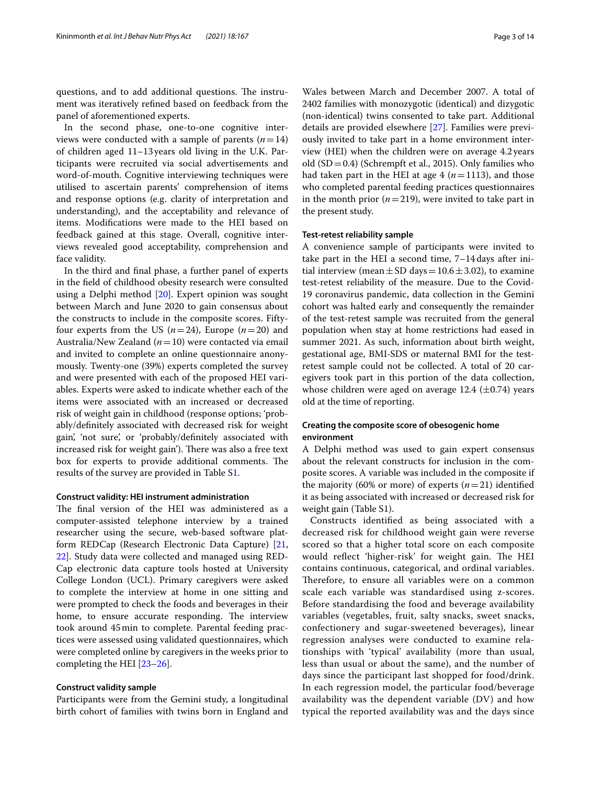questions, and to add additional questions. The instrument was iteratively refned based on feedback from the panel of aforementioned experts.

In the second phase, one-to-one cognitive interviews were conducted with a sample of parents  $(n=14)$ of children aged 11–13years old living in the U.K. Participants were recruited via social advertisements and word-of-mouth. Cognitive interviewing techniques were utilised to ascertain parents' comprehension of items and response options (e.g. clarity of interpretation and understanding), and the acceptability and relevance of items. Modifcations were made to the HEI based on feedback gained at this stage. Overall, cognitive interviews revealed good acceptability, comprehension and face validity.

In the third and fnal phase, a further panel of experts in the feld of childhood obesity research were consulted using a Delphi method [\[20](#page-12-13)]. Expert opinion was sought between March and June 2020 to gain consensus about the constructs to include in the composite scores. Fiftyfour experts from the US ( $n=24$ ), Europe ( $n=20$ ) and Australia/New Zealand (*n*=10) were contacted via email and invited to complete an online questionnaire anonymously. Twenty-one (39%) experts completed the survey and were presented with each of the proposed HEI variables. Experts were asked to indicate whether each of the items were associated with an increased or decreased risk of weight gain in childhood (response options; 'probably/defnitely associated with decreased risk for weight gain', 'not sure', or 'probably/defnitely associated with increased risk for weight gain'). There was also a free text box for experts to provide additional comments. The results of the survey are provided in Table S[1.](#page-11-4)

## **Construct validity: HEI instrument administration**

The final version of the HEI was administered as a computer-assisted telephone interview by a trained researcher using the secure, web-based software platform REDCap (Research Electronic Data Capture) [\[21](#page-12-14), [22\]](#page-12-15). Study data were collected and managed using RED-Cap electronic data capture tools hosted at University College London (UCL). Primary caregivers were asked to complete the interview at home in one sitting and were prompted to check the foods and beverages in their home, to ensure accurate responding. The interview took around 45min to complete. Parental feeding practices were assessed using validated questionnaires, which were completed online by caregivers in the weeks prior to completing the HEI [\[23](#page-12-16)[–26\]](#page-12-17).

#### **Construct validity sample**

Participants were from the Gemini study, a longitudinal birth cohort of families with twins born in England and

Wales between March and December 2007. A total of 2402 families with monozygotic (identical) and dizygotic (non-identical) twins consented to take part. Additional details are provided elsewhere [\[27](#page-12-18)]. Families were previously invited to take part in a home environment interview (HEI) when the children were on average 4.2 years old  $(SD=0.4)$  (Schrempft et al., 2015). Only families who had taken part in the HEI at age 4 ( $n=1113$ ), and those who completed parental feeding practices questionnaires in the month prior  $(n=219)$ , were invited to take part in the present study.

## **Test‑retest reliability sample**

A convenience sample of participants were invited to take part in the HEI a second time, 7–14days after initial interview (mean  $\pm$  SD days = 10.6  $\pm$  3.02), to examine test-retest reliability of the measure. Due to the Covid-19 coronavirus pandemic, data collection in the Gemini cohort was halted early and consequently the remainder of the test-retest sample was recruited from the general population when stay at home restrictions had eased in summer 2021. As such, information about birth weight, gestational age, BMI-SDS or maternal BMI for the testretest sample could not be collected. A total of 20 caregivers took part in this portion of the data collection, whose children were aged on average 12.4  $(\pm 0.74)$  years old at the time of reporting.

## **Creating the composite score of obesogenic home environment**

A Delphi method was used to gain expert consensus about the relevant constructs for inclusion in the composite scores. A variable was included in the composite if the majority (60% or more) of experts  $(n=21)$  identified it as being associated with increased or decreased risk for weight gain (Table S1).

Constructs identifed as being associated with a decreased risk for childhood weight gain were reverse scored so that a higher total score on each composite would reflect 'higher-risk' for weight gain. The HEI contains continuous, categorical, and ordinal variables. Therefore, to ensure all variables were on a common scale each variable was standardised using z-scores. Before standardising the food and beverage availability variables (vegetables, fruit, salty snacks, sweet snacks, confectionery and sugar-sweetened beverages), linear regression analyses were conducted to examine relationships with 'typical' availability (more than usual, less than usual or about the same), and the number of days since the participant last shopped for food/drink. In each regression model, the particular food/beverage availability was the dependent variable (DV) and how typical the reported availability was and the days since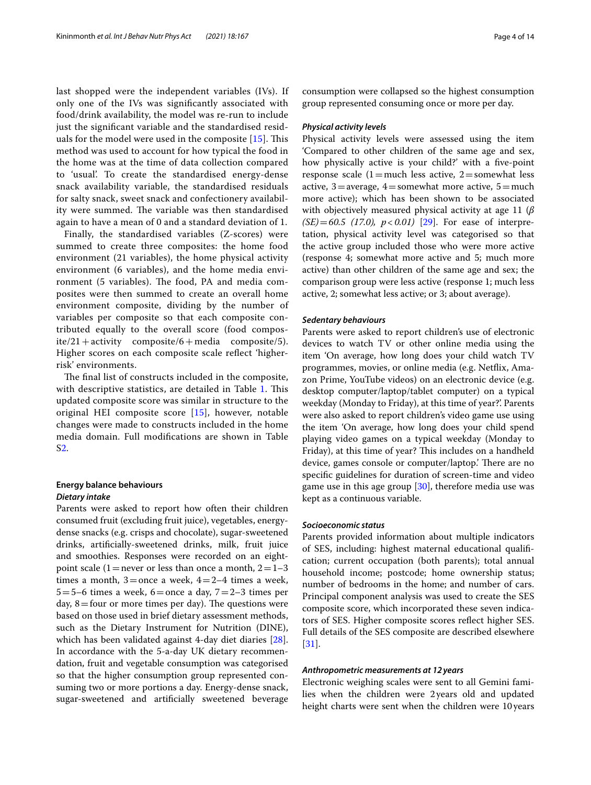last shopped were the independent variables (IVs). If only one of the IVs was signifcantly associated with food/drink availability, the model was re-run to include just the signifcant variable and the standardised residuals for the model were used in the composite  $[15]$  $[15]$ . This method was used to account for how typical the food in the home was at the time of data collection compared to 'usual'. To create the standardised energy-dense snack availability variable, the standardised residuals for salty snack, sweet snack and confectionery availability were summed. The variable was then standardised again to have a mean of 0 and a standard deviation of 1.

Finally, the standardised variables (Z-scores) were summed to create three composites: the home food environment (21 variables), the home physical activity environment (6 variables), and the home media environment (5 variables). The food, PA and media composites were then summed to create an overall home environment composite, dividing by the number of variables per composite so that each composite contributed equally to the overall score (food compos $ite/21+activity$  composite/6 + media composite/5). Higher scores on each composite scale refect 'higherrisk' environments.

The final list of constructs included in the composite, with descriptive statistics, are detailed in Table [1](#page-4-0). This updated composite score was similar in structure to the original HEI composite score [[15\]](#page-12-8), however, notable changes were made to constructs included in the home media domain. Full modifcations are shown in Table S[2.](#page-11-4)

## **Energy balance behaviours** *Dietary intake*

Parents were asked to report how often their children consumed fruit (excluding fruit juice), vegetables, energydense snacks (e.g. crisps and chocolate), sugar-sweetened drinks, artifcially-sweetened drinks, milk, fruit juice and smoothies. Responses were recorded on an eightpoint scale  $(1=$  never or less than once a month,  $2=1-3$ times a month,  $3=$ once a week,  $4=2-4$  times a week, 5=5–6 times a week, 6=once a day,  $7=2-3$  times per day,  $8 =$  four or more times per day). The questions were based on those used in brief dietary assessment methods, such as the Dietary Instrument for Nutrition (DINE), which has been validated against 4-day diet diaries [\[28](#page-12-19)]. In accordance with the 5-a-day UK dietary recommendation, fruit and vegetable consumption was categorised so that the higher consumption group represented consuming two or more portions a day. Energy-dense snack, sugar-sweetened and artifcially sweetened beverage consumption were collapsed so the highest consumption group represented consuming once or more per day.

#### *Physical activity levels*

Physical activity levels were assessed using the item 'Compared to other children of the same age and sex, how physically active is your child?' with a five-point response scale  $(1=$ much less active,  $2=$ somewhat less active,  $3=$  average,  $4=$  somewhat more active,  $5=$  much more active); which has been shown to be associated with objectively measured physical activity at age 11 (*β*   $(SE) = 60.5$  (17.0),  $p < 0.01$ ) [\[29](#page-12-20)]. For ease of interpretation, physical activity level was categorised so that the active group included those who were more active (response 4; somewhat more active and 5; much more active) than other children of the same age and sex; the comparison group were less active (response 1; much less active, 2; somewhat less active; or 3; about average).

## *Sedentary behaviours*

Parents were asked to report children's use of electronic devices to watch TV or other online media using the item 'On average, how long does your child watch TV programmes, movies, or online media (e.g. Netfix, Amazon Prime, YouTube videos) on an electronic device (e.g. desktop computer/laptop/tablet computer) on a typical weekday (Monday to Friday), at this time of year?'. Parents were also asked to report children's video game use using the item 'On average, how long does your child spend playing video games on a typical weekday (Monday to Friday), at this time of year? This includes on a handheld device, games console or computer/laptop.' There are no specifc guidelines for duration of screen-time and video game use in this age group [[30\]](#page-12-21), therefore media use was kept as a continuous variable.

## *Socioeconomic status*

Parents provided information about multiple indicators of SES, including: highest maternal educational qualifcation; current occupation (both parents); total annual household income; postcode; home ownership status; number of bedrooms in the home; and number of cars. Principal component analysis was used to create the SES composite score, which incorporated these seven indicators of SES. Higher composite scores refect higher SES. Full details of the SES composite are described elsewhere [[31\]](#page-12-22).

## *Anthropometric measurements at 12years*

Electronic weighing scales were sent to all Gemini families when the children were 2 years old and updated height charts were sent when the children were 10years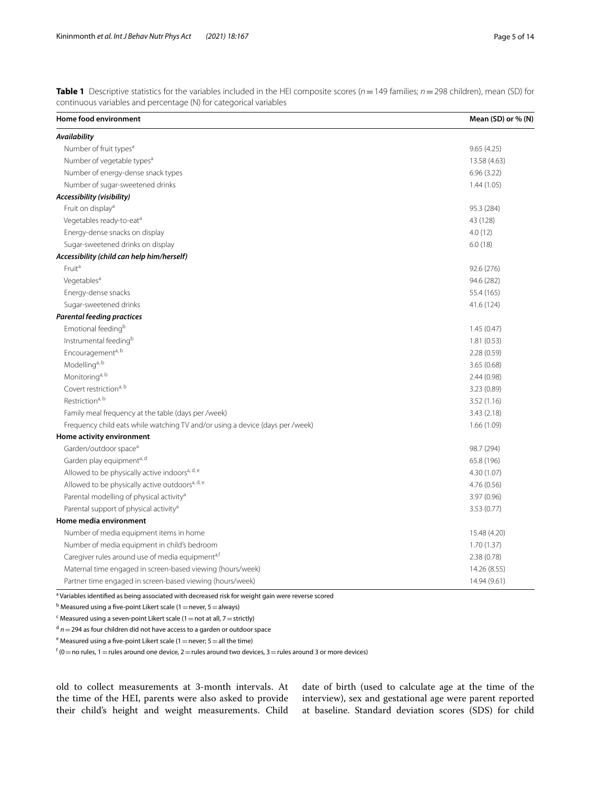<span id="page-4-0"></span>**Table 1** Descriptive statistics for the variables included in the HEI composite scores  $(n = 149$  families;  $n = 298$  children), mean (SD) for continuous variables and percentage (N) for categorical variables

| Home food environment                                                         | Mean (SD) or % (N) |
|-------------------------------------------------------------------------------|--------------------|
| Availability                                                                  |                    |
| Number of fruit types <sup>a</sup>                                            | 9.65(4.25)         |
| Number of vegetable types <sup>a</sup>                                        | 13.58 (4.63)       |
| Number of energy-dense snack types                                            | 6.96(3.22)         |
| Number of sugar-sweetened drinks                                              | 1.44(1.05)         |
| Accessibility (visibility)                                                    |                    |
| Fruit on display <sup>a</sup>                                                 | 95.3 (284)         |
| Vegetables ready-to-eat <sup>a</sup>                                          | 43 (128)           |
| Energy-dense snacks on display                                                | 4.0(12)            |
| Sugar-sweetened drinks on display                                             | 6.0(18)            |
| Accessibility (child can help him/herself)                                    |                    |
| Fruit <sup>a</sup>                                                            | 92.6 (276)         |
| Vegetables <sup>a</sup>                                                       | 94.6 (282)         |
| Energy-dense snacks                                                           | 55.4 (165)         |
| Sugar-sweetened drinks                                                        | 41.6 (124)         |
| <b>Parental feeding practices</b>                                             |                    |
| Emotional feeding <sup>b</sup>                                                | 1.45(0.47)         |
| Instrumental feeding <sup>b</sup>                                             | 1.81(0.53)         |
| Encouragementa, b                                                             | 2.28(0.59)         |
| Modelling <sup>a, b</sup>                                                     | 3.65 (0.68)        |
| Monitoring <sup>a, b</sup>                                                    | 2.44(0.98)         |
| Covert restriction <sup>a, b</sup>                                            | 3.23 (0.89)        |
| Restriction <sup>a, b</sup>                                                   | 3.52(1.16)         |
| Family meal frequency at the table (days per /week)                           | 3.43(2.18)         |
| Frequency child eats while watching TV and/or using a device (days per /week) | 1.66(1.09)         |
| Home activity environment                                                     |                    |
| Garden/outdoor space <sup>a</sup>                                             | 98.7 (294)         |
| Garden play equipment <sup>a, d</sup>                                         | 65.8 (196)         |
| Allowed to be physically active indoors <sup>a, d, e</sup>                    | 4.30 (1.07)        |
| Allowed to be physically active outdoors <sup>a, d, e</sup>                   | 4.76(0.56)         |
| Parental modelling of physical activity <sup>a</sup>                          | 3.97 (0.96)        |
| Parental support of physical activity <sup>a</sup>                            | 3.53(0.77)         |
| Home media environment                                                        |                    |
| Number of media equipment items in home                                       | 15.48 (4.20)       |
| Number of media equipment in child's bedroom                                  | 1.70(1.37)         |
| Caregiver rules around use of media equipment <sup>a,f</sup>                  | 2.38(0.78)         |
| Maternal time engaged in screen-based viewing (hours/week)                    | 14.26 (8.55)       |
| Partner time engaged in screen-based viewing (hours/week)                     | 14.94 (9.61)       |

<sup>a</sup> Variables identified as being associated with decreased risk for weight gain were reverse scored

 $^{\rm b}$  Measured using a five-point Likert scale (1  $=$  never, 5  $=$  always)

 $\epsilon$  Measured using a seven-point Likert scale (1  $=$  not at all, 7  $=$  strictly)

<sup>d</sup> *<sup>n</sup>*=294 as four children did not have access to a garden or outdoor space

 $^{\rm e}$  Measured using a five-point Likert scale (1  $=$  never; 5  $=$  all the time)

 $\int_{0}^{f}$  (0  $=$  no rules, 1  $=$  rules around one device, 2  $=$  rules around two devices, 3  $=$  rules around 3 or more devices)

old to collect measurements at 3-month intervals. At the time of the HEI, parents were also asked to provide their child's height and weight measurements. Child

date of birth (used to calculate age at the time of the interview), sex and gestational age were parent reported at baseline. Standard deviation scores (SDS) for child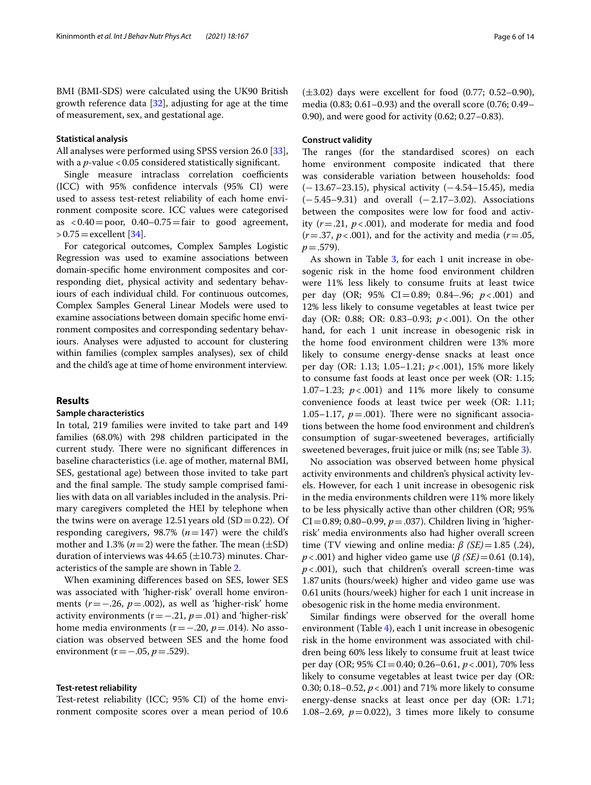BMI (BMI-SDS) were calculated using the UK90 British growth reference data [\[32\]](#page-12-23), adjusting for age at the time of measurement, sex, and gestational age.

## **Statistical analysis**

All analyses were performed using SPSS version 26.0 [\[33](#page-12-24)], with a *p*-value <0.05 considered statistically significant.

Single measure intraclass correlation coefficients (ICC) with 95% confdence intervals (95% CI) were used to assess test-retest reliability of each home environment composite score. ICC values were categorised as  $\langle 0.40 = \text{poor}, \ 0.40 - 0.75 = \text{fair to good agreement},$  $>0.75$  = excellent [[34\]](#page-12-25).

For categorical outcomes, Complex Samples Logistic Regression was used to examine associations between domain-specifc home environment composites and corresponding diet, physical activity and sedentary behaviours of each individual child. For continuous outcomes, Complex Samples General Linear Models were used to examine associations between domain specifc home environment composites and corresponding sedentary behaviours. Analyses were adjusted to account for clustering within families (complex samples analyses), sex of child and the child's age at time of home environment interview.

#### **Results**

#### **Sample characteristics**

In total, 219 families were invited to take part and 149 families (68.0%) with 298 children participated in the current study. There were no significant differences in baseline characteristics (i.e. age of mother, maternal BMI, SES, gestational age) between those invited to take part and the final sample. The study sample comprised families with data on all variables included in the analysis. Primary caregivers completed the HEI by telephone when the twins were on average 12.51 years old  $(SD=0.22)$ . Of responding caregivers,  $98.7\%$  ( $n=147$ ) were the child's mother and 1.3% ( $n=2$ ) were the father. The mean ( $\pm$ SD) duration of interviews was  $44.65 \left(\pm 10.73\right)$  minutes. Characteristics of the sample are shown in Table [2.](#page-6-0)

When examining diferences based on SES, lower SES was associated with 'higher-risk' overall home environments (*r*=−.26, *p*=.002), as well as 'higher-risk' home activity environments (r=−.21, *p*=.01) and 'higher-risk' home media environments (r=−.20, *p*=.014). No association was observed between SES and the home food environment (r=−.05, *p*=.529).

#### **Test‑retest reliability**

Test-retest reliability (ICC; 95% CI) of the home environment composite scores over a mean period of 10.6  $(\pm 3.02)$  days were excellent for food  $(0.77; 0.52-0.90)$ , media (0.83; 0.61–0.93) and the overall score (0.76; 0.49– 0.90), and were good for activity (0.62; 0.27–0.83).

## **Construct validity**

The ranges (for the standardised scores) on each home environment composite indicated that there was considerable variation between households: food (−13.67–23.15), physical activity (−4.54–15.45), media (−5.45–9.31) and overall (−2.17–3.02). Associations between the composites were low for food and activity  $(r=.21, p<.001)$ , and moderate for media and food  $(r=.37, p<.001)$ , and for the activity and media  $(r=.05,$  $p = .579$ ).

As shown in Table [3,](#page-7-0) for each 1 unit increase in obesogenic risk in the home food environment children were 11% less likely to consume fruits at least twice per day (OR; 95% CI=0.89; 0.84–.96; *p*<.001) and 12% less likely to consume vegetables at least twice per day (OR: 0.88; OR: 0.83–0.93; *p*<.001). On the other hand, for each 1 unit increase in obesogenic risk in the home food environment children were 13% more likely to consume energy-dense snacks at least once per day (OR: 1.13; 1.05–1.21; *p*<.001), 15% more likely to consume fast foods at least once per week (OR: 1.15; 1.07–1.23;  $p < .001$ ) and 11% more likely to consume convenience foods at least twice per week (OR: 1.11; 1.05–1.17,  $p = .001$ ). There were no significant associations between the home food environment and children's consumption of sugar-sweetened beverages, artifcially sweetened beverages, fruit juice or milk (ns; see Table [3](#page-7-0)).

No association was observed between home physical activity environments and children's physical activity levels. However, for each 1 unit increase in obesogenic risk in the media environments children were 11% more likely to be less physically active than other children (OR; 95%  $CI = 0.89$ ; 0.80–0.99,  $p = .037$ ). Children living in 'higherrisk' media environments also had higher overall screen time (TV viewing and online media: *β (SE)*=1.85 (.24), *p*<.001) and higher video game use (*β (SE)*=0.61 (0.14), *p*<.001), such that children's overall screen-time was 1.87units (hours/week) higher and video game use was 0.61units (hours/week) higher for each 1 unit increase in obesogenic risk in the home media environment.

Similar fndings were observed for the overall home environment (Table [4](#page-8-0)), each 1 unit increase in obesogenic risk in the home environment was associated with children being 60% less likely to consume fruit at least twice per day (OR; 95% CI=0.40; 0.26–0.61, *p*<.001), 70% less likely to consume vegetables at least twice per day (OR: 0.30; 0.18–0.52, *p*<.001) and 71% more likely to consume energy-dense snacks at least once per day (OR: 1.71; 1.08–2.69,  $p = 0.022$ ), 3 times more likely to consume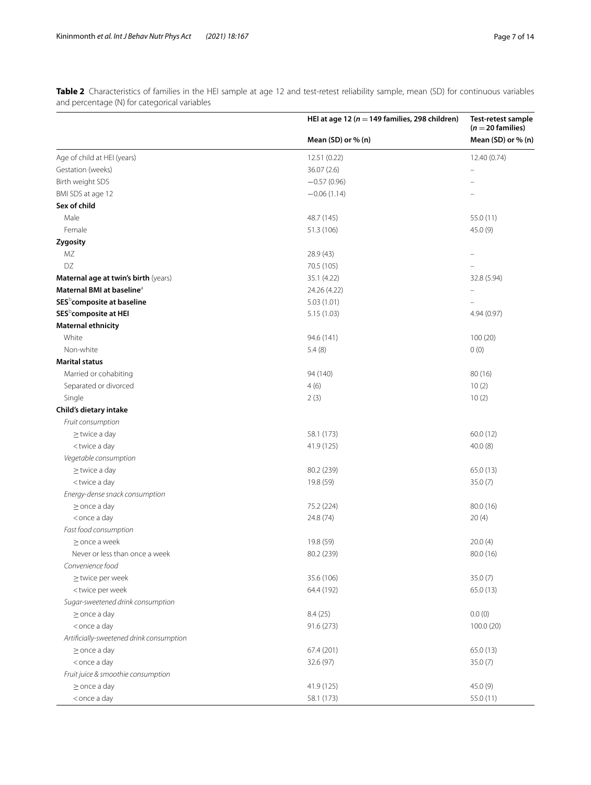|                                                                            | HEI at age 12 ( $n = 149$ families, 298 children) | Test-retest sample<br>$(n=20$ families) |
|----------------------------------------------------------------------------|---------------------------------------------------|-----------------------------------------|
|                                                                            | Mean (SD) or % (n)                                | Mean (SD) or % (n)                      |
| Age of child at HEI (years)                                                | 12.51 (0.22)                                      | 12.40 (0.74)                            |
| Gestation (weeks)                                                          | 36.07(2.6)                                        |                                         |
| Birth weight SDS                                                           | $-0.57(0.96)$                                     |                                         |
| BMI SDS at age 12                                                          | $-0.06(1.14)$                                     |                                         |
| Sex of child                                                               |                                                   |                                         |
| Male                                                                       | 48.7 (145)                                        | 55.0 (11)                               |
| Female                                                                     | 51.3 (106)                                        | 45.0(9)                                 |
| Zygosity                                                                   |                                                   |                                         |
| MZ                                                                         | 28.9 (43)                                         |                                         |
| DZ                                                                         | 70.5 (105)                                        |                                         |
| Maternal age at twin's birth (years)                                       | 35.1 (4.22)                                       | 32.8 (5.94)                             |
| Maternal BMI at baseline <sup>a</sup>                                      | 24.26 (4.22)                                      |                                         |
| SES <sup>b</sup> composite at baseline                                     | 5.03(1.01)                                        |                                         |
| SES <sup>b</sup> composite at HEI                                          | 5.15(1.03)                                        | 4.94 (0.97)                             |
| <b>Maternal ethnicity</b>                                                  |                                                   |                                         |
| White                                                                      | 94.6 (141)                                        | 100 (20)                                |
| Non-white                                                                  | 5.4(8)                                            | 0(0)                                    |
| <b>Marital status</b>                                                      |                                                   |                                         |
| Married or cohabiting                                                      | 94 (140)                                          | 80 (16)                                 |
| Separated or divorced                                                      | 4(6)                                              | 10(2)                                   |
| Single                                                                     | 2(3)                                              | 10(2)                                   |
| Child's dietary intake                                                     |                                                   |                                         |
| Fruit consumption                                                          |                                                   |                                         |
| $\geq$ twice a day                                                         | 58.1 (173)                                        | 60.0(12)                                |
| <twice a="" day<="" td=""><td>41.9 (125)</td><td>40.0(8)</td></twice>      | 41.9 (125)                                        | 40.0(8)                                 |
| Vegetable consumption                                                      |                                                   |                                         |
| $\geq$ twice a day                                                         | 80.2 (239)                                        | 65.0(13)                                |
| <twice a="" day<="" td=""><td>19.8 (59)</td><td>35.0(7)</td></twice>       | 19.8 (59)                                         | 35.0(7)                                 |
| Energy-dense snack consumption                                             |                                                   |                                         |
| $\geq$ once a day                                                          | 75.2 (224)                                        | 80.0 (16)                               |
| <once a="" day<="" td=""><td>24.8 (74)</td><td>20(4)</td></once>           | 24.8 (74)                                         | 20(4)                                   |
| Fast food consumption                                                      |                                                   |                                         |
| $\geq$ once a week                                                         | 19.8 (59)                                         | 20.0(4)                                 |
| Never or less than once a week                                             | 80.2 (239)                                        | 80.0 (16)                               |
| Convenience food                                                           |                                                   |                                         |
| $\geq$ twice per week                                                      | 35.6 (106)                                        | 35.0 (7)                                |
| <twice per="" td="" week<=""><td>64.4 (192)</td><td>65.0 (13)</td></twice> | 64.4 (192)                                        | 65.0 (13)                               |
| Sugar-sweetened drink consumption                                          |                                                   |                                         |
| $\geq$ once a day                                                          | 8.4(25)                                           | 0.0(0)                                  |
| <once a="" day<="" td=""><td>91.6 (273)</td><td>100.0 (20)</td></once>     | 91.6 (273)                                        | 100.0 (20)                              |
| Artificially-sweetened drink consumption                                   |                                                   |                                         |
| $\geq$ once a day                                                          | 67.4 (201)                                        | 65.0 (13)                               |
| <once a="" day<="" td=""><td>32.6 (97)</td><td>35.0(7)</td></once>         | 32.6 (97)                                         | 35.0(7)                                 |
| Fruit juice & smoothie consumption                                         |                                                   |                                         |
| $\geq$ once a day                                                          | 41.9 (125)                                        | 45.0(9)                                 |
| <once a="" day<="" td=""><td>58.1 (173)</td><td>55.0 (11)</td></once>      | 58.1 (173)                                        | 55.0 (11)                               |

<span id="page-6-0"></span>**Table 2** Characteristics of families in the HEI sample at age 12 and test-retest reliability sample, mean (SD) for continuous variables and percentage (N) for categorical variables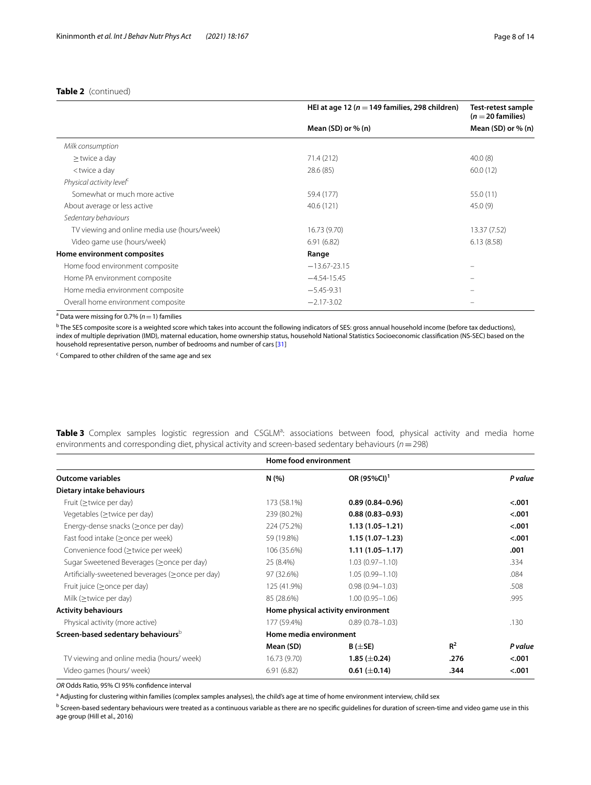## **Table 2** (continued)

|                                                                       | HEI at age 12 ( $n = 149$ families, 298 children) | Test-retest sample<br>$(n=20$ families) |  |
|-----------------------------------------------------------------------|---------------------------------------------------|-----------------------------------------|--|
|                                                                       | Mean $(SD)$ or % $(n)$                            | Mean (SD) or $% (n)$                    |  |
| Milk consumption                                                      |                                                   |                                         |  |
| $\geq$ twice a day                                                    | 71.4 (212)                                        | 40.0(8)                                 |  |
| <twice a="" day<="" td=""><td>28.6 (85)</td><td>60.0(12)</td></twice> | 28.6 (85)                                         | 60.0(12)                                |  |
| Physical activity level <sup>c</sup>                                  |                                                   |                                         |  |
| Somewhat or much more active                                          | 59.4 (177)                                        | 55.0 (11)                               |  |
| About average or less active                                          | 40.6 (121)                                        | 45.0(9)                                 |  |
| Sedentary behaviours                                                  |                                                   |                                         |  |
| TV viewing and online media use (hours/week)                          | 16.73 (9.70)                                      | 13.37 (7.52)                            |  |
| Video game use (hours/week)                                           | 6.91(6.82)                                        | 6.13(8.58)                              |  |
| Home environment composites                                           | Range                                             |                                         |  |
| Home food environment composite                                       | $-13.67 - 23.15$                                  |                                         |  |
| Home PA environment composite                                         | $-4.54 - 15.45$                                   |                                         |  |
| Home media environment composite                                      | $-5.45 - 9.31$                                    |                                         |  |
| Overall home environment composite                                    | $-2.17 - 3.02$                                    |                                         |  |

<sup>a</sup> Data were missing for 0.7% (*n* = 1) families

 $^{\rm b}$  The SES composite score is a weighted score which takes into account the following indicators of SES: gross annual household income (before tax deductions), index of multiple deprivation (IMD), maternal education, home ownership status, household National Statistics Socioeconomic classifcation (NS-SEC) based on the household representative person, number of bedrooms and number of cars [[31\]](#page-12-22)

<sup>c</sup> Compared to other children of the same age and sex

<span id="page-7-0"></span>Table 3 Complex samples logistic regression and CSGLM<sup>a</sup>: associations between food, physical activity and media home environments and corresponding diet, physical activity and screen-based sedentary behaviours (*n*=298)

|                                                   | Home food environment              |                         |       |         |
|---------------------------------------------------|------------------------------------|-------------------------|-------|---------|
| <b>Outcome variables</b>                          | N(%)                               | OR (95%CI) <sup>1</sup> |       | P value |
| Dietary intake behaviours                         |                                    |                         |       |         |
| Fruit ( $\geq$ twice per day)                     | 173 (58.1%)                        | $0.89(0.84 - 0.96)$     |       | < .001  |
| Vegetables ( $\geq$ twice per day)                | 239 (80.2%)                        | $0.88(0.83 - 0.93)$     |       | < .001  |
| Energy-dense snacks (≥once per day)               | 224 (75.2%)                        | $1.13(1.05 - 1.21)$     |       | < .001  |
| Fast food intake (≥once per week)                 | 59 (19.8%)                         | $1.15(1.07-1.23)$       |       | < .001  |
| Convenience food (>twice per week)                | 106 (35.6%)                        | $1.11(1.05 - 1.17)$     |       | .001    |
| Sugar Sweetened Beverages (> once per day)        | 25 (8.4%)                          | $1.03(0.97 - 1.10)$     |       | .334    |
| Artificially-sweetened beverages (> once per day) | 97 (32.6%)                         | $1.05(0.99 - 1.10)$     |       | .084    |
| Fruit juice ( $\geq$ once per day)                | 125 (41.9%)                        | $0.98(0.94 - 1.03)$     |       | .508    |
| Milk ( $\geq$ twice per day)                      | 85 (28.6%)                         | $1.00(0.95 - 1.06)$     |       | .995    |
| <b>Activity behaviours</b>                        | Home physical activity environment |                         |       |         |
| Physical activity (more active)                   | 177 (59.4%)                        | $0.89(0.78 - 1.03)$     |       | .130    |
| Screen-based sedentary behaviours <sup>b</sup>    | Home media environment             |                         |       |         |
|                                                   | Mean (SD)                          | $B(\pm SE)$             | $R^2$ | P value |
| TV viewing and online media (hours/week)          | 16.73 (9.70)                       | 1.85 ( $\pm$ 0.24)      | .276  | < .001  |
| Video games (hours/week)                          | 6.91(6.82)                         | $0.61 (\pm 0.14)$       | .344  | $-.001$ |

*OR* Odds Ratio, 95% CI 95% confdence interval

<sup>a</sup> Adjusting for clustering within families (complex samples analyses), the child's age at time of home environment interview, child sex

<sup>b</sup> Screen-based sedentary behaviours were treated as a continuous variable as there are no specific guidelines for duration of screen-time and video game use in this age group (Hill et al., 2016)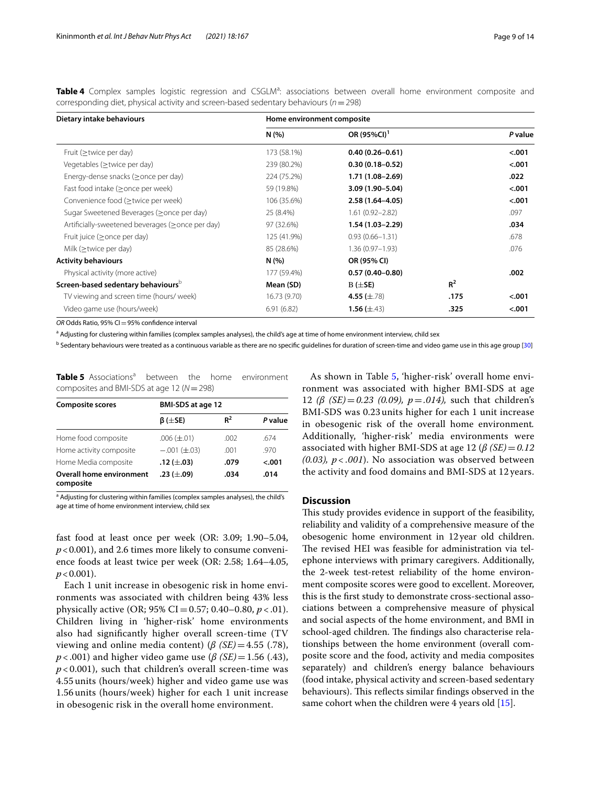<span id="page-8-0"></span>

|  |  |  |                                                                                           |  | Table 4 Complex samples logistic regression and CSGLM <sup>a</sup> : associations between overall home environment composite and |  |
|--|--|--|-------------------------------------------------------------------------------------------|--|----------------------------------------------------------------------------------------------------------------------------------|--|
|  |  |  | corresponding diet, physical activity and screen-based sedentary behaviours ( $n = 298$ ) |  |                                                                                                                                  |  |

| Dietary intake behaviours                         | Home environment composite |                         |       |         |  |
|---------------------------------------------------|----------------------------|-------------------------|-------|---------|--|
|                                                   | N(%)                       | OR (95%CI) <sup>1</sup> |       | P value |  |
| Fruit $(\geq$ twice per day)                      | 173 (58.1%)                | $0.40(0.26 - 0.61)$     |       | < .001  |  |
| Vegetables ( $\geq$ twice per day)                | 239 (80.2%)                | $0.30(0.18 - 0.52)$     |       | < .001  |  |
| Energy-dense snacks (≥once per day)               | 224 (75.2%)                | $1.71(1.08 - 2.69)$     |       | .022    |  |
| Fast food intake (> once per week)                | 59 (19.8%)                 | 3.09 (1.90-5.04)        |       | $-.001$ |  |
| Convenience food (≥twice per week)                | 106 (35.6%)                | $2.58(1.64 - 4.05)$     |       | $-.001$ |  |
| Sugar Sweetened Beverages (> once per day)        | 25 (8.4%)                  | $1.61(0.92 - 2.82)$     |       | .097    |  |
| Artificially-sweetened beverages (> once per day) | 97 (32.6%)                 | $1.54(1.03 - 2.29)$     |       | .034    |  |
| Fruit juice ( $\geq$ once per day)                | 125 (41.9%)                | $0.93(0.66 - 1.31)$     |       | .678    |  |
| Milk ( $\geq$ twice per day)                      | 85 (28.6%)                 | $1.36(0.97 - 1.93)$     |       | .076    |  |
| <b>Activity behaviours</b>                        | N(%)                       | OR (95% CI)             |       |         |  |
| Physical activity (more active)                   | 177 (59.4%)                | $0.57(0.40 - 0.80)$     |       | .002    |  |
| Screen-based sedentary behaviours <sup>D</sup>    | Mean (SD)                  | $B(\pm SE)$             | $R^2$ |         |  |
| TV viewing and screen time (hours/week)           | 16.73 (9.70)               | 4.55 $(\pm .78)$        | .175  | $-.001$ |  |
| Video game use (hours/week)                       | 6.91(6.82)                 | 1.56 $(\pm .43)$        | .325  | $-.001$ |  |

OR Odds Ratio, 95% CI-95% confidence interval

<sup>a</sup> Adjusting for clustering within families (complex samples analyses), the child's age at time of home environment interview, child sex

<sup>b</sup> Sedentary behaviours were treated as a continuous variable as there are no specific guidelines for duration of screen-time and video game use in this age group [[30](#page-12-21)]

<span id="page-8-1"></span>**Table 5** Associations<sup>a</sup> between the home environment composites and BMI-SDS at age 12 (*N*=298)

| <b>Composite scores</b>                      | <b>BMI-SDS at age 12</b> |       |         |  |  |
|----------------------------------------------|--------------------------|-------|---------|--|--|
|                                              | $\beta$ ( $\pm$ SE)      | $R^2$ | P value |  |  |
| Home food composite                          | $.006 (\pm .01)$         | .002  | .674    |  |  |
| Home activity composite                      | $-.001 (\pm .03)$        | .001  | .970    |  |  |
| Home Media composite                         | .12 ( $\pm$ .03)         | .079  | < .001  |  |  |
| <b>Overall home environment</b><br>composite | .23 ( $\pm$ .09)         | .034  | .014    |  |  |

<sup>a</sup> Adjusting for clustering within families (complex samples analyses), the child's age at time of home environment interview, child sex

fast food at least once per week (OR: 3.09; 1.90–5.04, *p*<0.001), and 2.6 times more likely to consume convenience foods at least twice per week (OR: 2.58; 1.64–4.05,  $p < 0.001$ ).

Each 1 unit increase in obesogenic risk in home environments was associated with children being 43% less physically active (OR;  $95\%$  CI = 0.57; 0.40–0.80,  $p < .01$ ). Children living in 'higher-risk' home environments also had signifcantly higher overall screen-time (TV viewing and online media content) (*β (SE)*=4.55 (.78), *p* < .001) and higher video game use (*β (SE)*=1.56 (.43),  $p$  < 0.001), such that children's overall screen-time was 4.55 units (hours/week) higher and video game use was 1.56 units (hours/week) higher for each 1 unit increase in obesogenic risk in the overall home environment.

As shown in Table [5,](#page-8-1) 'higher-risk' overall home environment was associated with higher BMI-SDS at age 12 *(β (SE)*=*0.23 (0.09), p*=*.014),* such that children's BMI-SDS was 0.23 units higher for each 1 unit increase in obesogenic risk of the overall home environment*.* Additionally, 'higher-risk' media environments were associated with higher BMI-SDS at age 12 (*β (SE)*=*0.12 (0.03), p < .001*). No association was observed between the activity and food domains and BMI-SDS at 12 years.

## **Discussion**

This study provides evidence in support of the feasibility, reliability and validity of a comprehensive measure of the obesogenic home environment in 12year old children. The revised HEI was feasible for administration via telephone interviews with primary caregivers. Additionally, the 2-week test-retest reliability of the home environment composite scores were good to excellent. Moreover, this is the frst study to demonstrate cross-sectional associations between a comprehensive measure of physical and social aspects of the home environment, and BMI in school-aged children. The findings also characterise relationships between the home environment (overall composite score and the food, activity and media composites separately) and children's energy balance behaviours (food intake, physical activity and screen-based sedentary behaviours). This reflects similar findings observed in the same cohort when the children were 4 years old [\[15](#page-12-8)].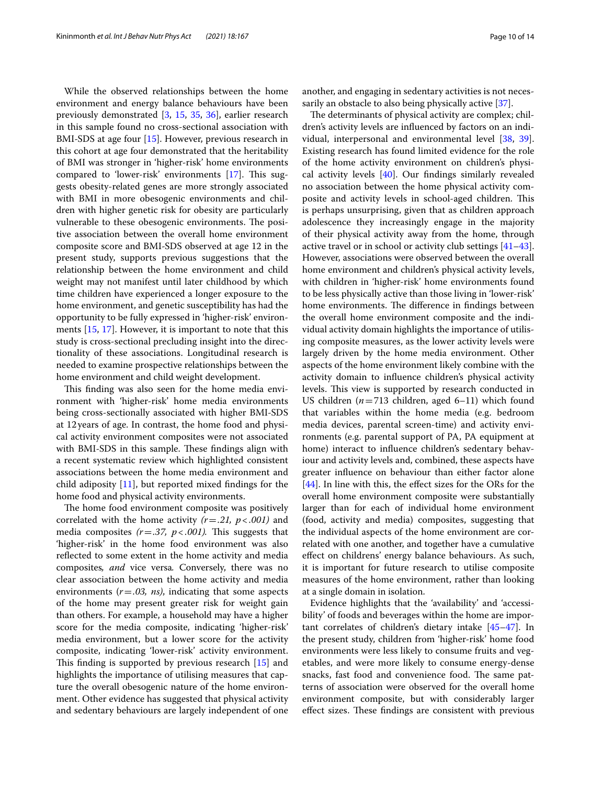While the observed relationships between the home environment and energy balance behaviours have been previously demonstrated [[3,](#page-11-2) [15](#page-12-8), [35,](#page-12-26) [36\]](#page-12-27), earlier research in this sample found no cross-sectional association with BMI-SDS at age four [\[15\]](#page-12-8). However, previous research in this cohort at age four demonstrated that the heritability of BMI was stronger in 'higher-risk' home environments compared to 'lower-risk' environments [[17\]](#page-12-10). This suggests obesity-related genes are more strongly associated with BMI in more obesogenic environments and children with higher genetic risk for obesity are particularly vulnerable to these obesogenic environments. The positive association between the overall home environment composite score and BMI-SDS observed at age 12 in the present study, supports previous suggestions that the relationship between the home environment and child weight may not manifest until later childhood by which time children have experienced a longer exposure to the home environment, and genetic susceptibility has had the opportunity to be fully expressed in 'higher-risk' environments [[15,](#page-12-8) [17\]](#page-12-10). However, it is important to note that this study is cross-sectional precluding insight into the directionality of these associations. Longitudinal research is needed to examine prospective relationships between the home environment and child weight development.

This finding was also seen for the home media environment with 'higher-risk' home media environments being cross-sectionally associated with higher BMI-SDS at 12years of age. In contrast, the home food and physical activity environment composites were not associated with BMI-SDS in this sample. These findings align with a recent systematic review which highlighted consistent associations between the home media environment and child adiposity [[11](#page-12-4)], but reported mixed fndings for the home food and physical activity environments.

The home food environment composite was positively correlated with the home activity *(r*=*.21, p<.001)* and media composites  $(r=.37, p<.001)$ . This suggests that 'higher-risk' in the home food environment was also refected to some extent in the home activity and media composites*, and* vice versa*.* Conversely, there was no clear association between the home activity and media environments  $(r = .03, ns)$ , indicating that some aspects of the home may present greater risk for weight gain than others. For example, a household may have a higher score for the media composite, indicating 'higher-risk' media environment, but a lower score for the activity composite, indicating 'lower-risk' activity environment. This finding is supported by previous research  $[15]$  $[15]$  and highlights the importance of utilising measures that capture the overall obesogenic nature of the home environment. Other evidence has suggested that physical activity and sedentary behaviours are largely independent of one another, and engaging in sedentary activities is not necessarily an obstacle to also being physically active [\[37](#page-12-28)].

The determinants of physical activity are complex; children's activity levels are infuenced by factors on an individual, interpersonal and environmental level [[38](#page-12-29), [39](#page-13-0)]. Existing research has found limited evidence for the role of the home activity environment on children's physical activity levels [[40\]](#page-13-1). Our fndings similarly revealed no association between the home physical activity composite and activity levels in school-aged children. This is perhaps unsurprising, given that as children approach adolescence they increasingly engage in the majority of their physical activity away from the home, through active travel or in school or activity club settings [[41](#page-13-2)[–43](#page-13-3)]. However, associations were observed between the overall home environment and children's physical activity levels, with children in 'higher-risk' home environments found to be less physically active than those living in 'lower-risk' home environments. The difference in findings between the overall home environment composite and the individual activity domain highlights the importance of utilising composite measures, as the lower activity levels were largely driven by the home media environment. Other aspects of the home environment likely combine with the activity domain to infuence children's physical activity levels. This view is supported by research conducted in US children (*n*=713 children, aged 6–11) which found that variables within the home media (e.g. bedroom media devices, parental screen-time) and activity environments (e.g. parental support of PA, PA equipment at home) interact to infuence children's sedentary behaviour and activity levels and, combined, these aspects have greater infuence on behaviour than either factor alone [[44\]](#page-13-4). In line with this, the effect sizes for the ORs for the overall home environment composite were substantially larger than for each of individual home environment (food, activity and media) composites, suggesting that the individual aspects of the home environment are correlated with one another, and together have a cumulative efect on childrens' energy balance behaviours. As such, it is important for future research to utilise composite measures of the home environment, rather than looking at a single domain in isolation.

Evidence highlights that the 'availability' and 'accessibility' of foods and beverages within the home are important correlates of children's dietary intake [[45–](#page-13-5)[47\]](#page-13-6). In the present study, children from 'higher-risk' home food environments were less likely to consume fruits and vegetables, and were more likely to consume energy-dense snacks, fast food and convenience food. The same patterns of association were observed for the overall home environment composite, but with considerably larger effect sizes. These findings are consistent with previous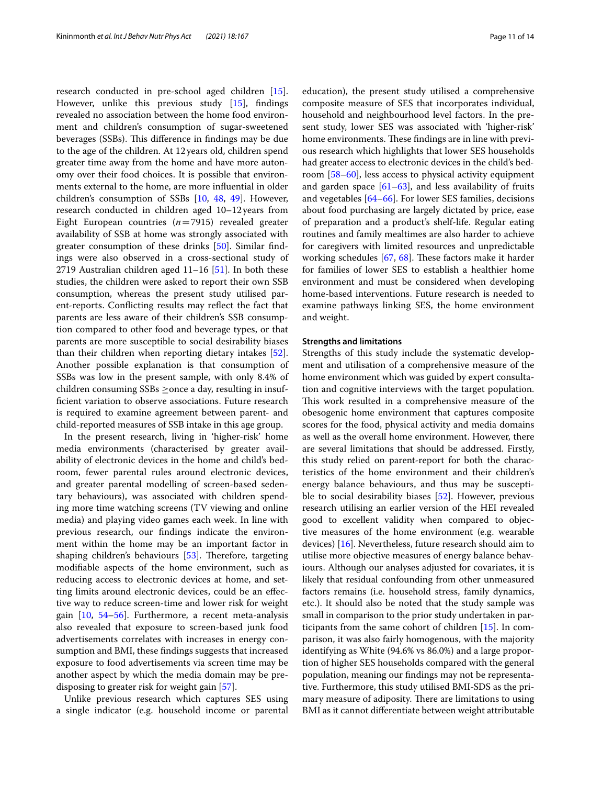research conducted in pre-school aged children [\[15](#page-12-8)]. However, unlike this previous study [[15\]](#page-12-8), findings revealed no association between the home food environment and children's consumption of sugar-sweetened beverages (SSBs). This difference in findings may be due to the age of the children. At 12 years old, children spend greater time away from the home and have more autonomy over their food choices. It is possible that environments external to the home, are more infuential in older children's consumption of SSBs [[10,](#page-12-3) [48](#page-13-7), [49](#page-13-8)]. However, research conducted in children aged 10–12years from Eight European countries  $(n=7915)$  revealed greater availability of SSB at home was strongly associated with greater consumption of these drinks [\[50](#page-13-9)]. Similar fndings were also observed in a cross-sectional study of 2719 Australian children aged  $11-16$  [[51](#page-13-10)]. In both these studies, the children were asked to report their own SSB consumption, whereas the present study utilised parent-reports. Conficting results may refect the fact that parents are less aware of their children's SSB consumption compared to other food and beverage types, or that parents are more susceptible to social desirability biases than their children when reporting dietary intakes [\[52](#page-13-11)]. Another possible explanation is that consumption of SSBs was low in the present sample, with only 8.4% of children consuming SSBs ≥once a day, resulting in insuffcient variation to observe associations. Future research is required to examine agreement between parent- and child-reported measures of SSB intake in this age group.

In the present research, living in 'higher-risk' home media environments (characterised by greater availability of electronic devices in the home and child's bedroom, fewer parental rules around electronic devices, and greater parental modelling of screen-based sedentary behaviours), was associated with children spending more time watching screens (TV viewing and online media) and playing video games each week. In line with previous research, our fndings indicate the environment within the home may be an important factor in shaping children's behaviours  $[53]$  $[53]$ . Therefore, targeting modifable aspects of the home environment, such as reducing access to electronic devices at home, and setting limits around electronic devices, could be an efective way to reduce screen-time and lower risk for weight gain [\[10,](#page-12-3) [54–](#page-13-13)[56\]](#page-13-14). Furthermore, a recent meta-analysis also revealed that exposure to screen-based junk food advertisements correlates with increases in energy consumption and BMI, these fndings suggests that increased exposure to food advertisements via screen time may be another aspect by which the media domain may be predisposing to greater risk for weight gain [[57\]](#page-13-15).

Unlike previous research which captures SES using a single indicator (e.g. household income or parental education), the present study utilised a comprehensive composite measure of SES that incorporates individual, household and neighbourhood level factors. In the present study, lower SES was associated with 'higher-risk' home environments. These findings are in line with previous research which highlights that lower SES households had greater access to electronic devices in the child's bedroom [\[58](#page-13-16)[–60\]](#page-13-17), less access to physical activity equipment and garden space  $[61-63]$  $[61-63]$ , and less availability of fruits and vegetables [\[64](#page-13-20)[–66\]](#page-13-21). For lower SES families, decisions about food purchasing are largely dictated by price, ease of preparation and a product's shelf-life. Regular eating routines and family mealtimes are also harder to achieve for caregivers with limited resources and unpredictable working schedules  $[67, 68]$  $[67, 68]$  $[67, 68]$ . These factors make it harder for families of lower SES to establish a healthier home environment and must be considered when developing home-based interventions. Future research is needed to examine pathways linking SES, the home environment and weight.

## **Strengths and limitations**

Strengths of this study include the systematic development and utilisation of a comprehensive measure of the home environment which was guided by expert consultation and cognitive interviews with the target population. This work resulted in a comprehensive measure of the obesogenic home environment that captures composite scores for the food, physical activity and media domains as well as the overall home environment. However, there are several limitations that should be addressed. Firstly, this study relied on parent-report for both the characteristics of the home environment and their children's energy balance behaviours, and thus may be susceptible to social desirability biases [[52](#page-13-11)]. However, previous research utilising an earlier version of the HEI revealed good to excellent validity when compared to objective measures of the home environment (e.g. wearable devices) [\[16](#page-12-9)]. Nevertheless, future research should aim to utilise more objective measures of energy balance behaviours. Although our analyses adjusted for covariates, it is likely that residual confounding from other unmeasured factors remains (i.e. household stress, family dynamics, etc.). It should also be noted that the study sample was small in comparison to the prior study undertaken in participants from the same cohort of children [\[15](#page-12-8)]. In comparison, it was also fairly homogenous, with the majority identifying as White (94.6% vs 86.0%) and a large proportion of higher SES households compared with the general population, meaning our fndings may not be representative. Furthermore, this study utilised BMI-SDS as the primary measure of adiposity. There are limitations to using BMI as it cannot diferentiate between weight attributable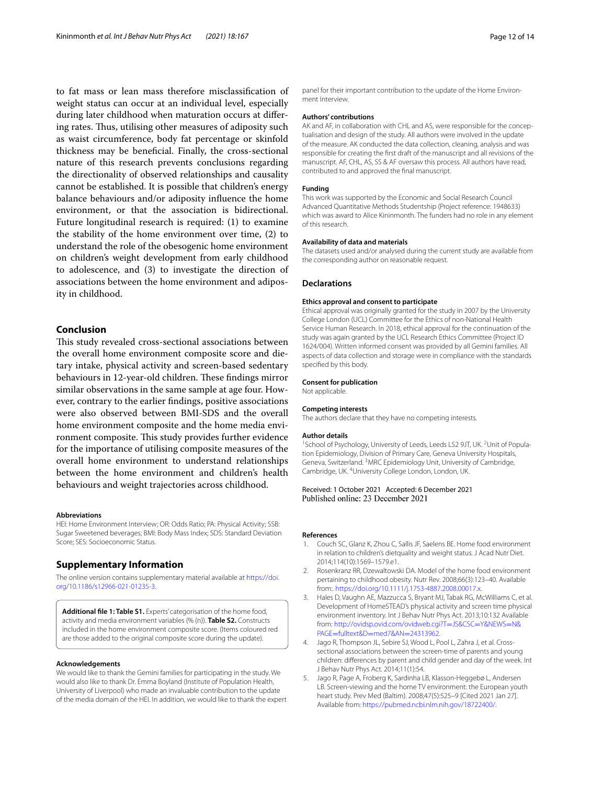to fat mass or lean mass therefore misclassifcation of weight status can occur at an individual level, especially during later childhood when maturation occurs at difering rates. Thus, utilising other measures of adiposity such as waist circumference, body fat percentage or skinfold thickness may be benefcial. Finally, the cross-sectional nature of this research prevents conclusions regarding the directionality of observed relationships and causality cannot be established. It is possible that children's energy balance behaviours and/or adiposity infuence the home environment, or that the association is bidirectional. Future longitudinal research is required: (1) to examine the stability of the home environment over time, (2) to understand the role of the obesogenic home environment on children's weight development from early childhood to adolescence, and (3) to investigate the direction of associations between the home environment and adiposity in childhood.

## **Conclusion**

This study revealed cross-sectional associations between the overall home environment composite score and dietary intake, physical activity and screen-based sedentary behaviours in 12-year-old children. These findings mirror similar observations in the same sample at age four. However, contrary to the earlier fndings, positive associations were also observed between BMI-SDS and the overall home environment composite and the home media environment composite. This study provides further evidence for the importance of utilising composite measures of the overall home environment to understand relationships between the home environment and children's health behaviours and weight trajectories across childhood.

#### **Abbreviations**

HEI: Home Environment Interview; OR: Odds Ratio; PA: Physical Activity; SSB: Sugar Sweetened beverages; BMI: Body Mass Index; SDS: Standard Deviation Score; SES: Socioeconomic Status.

## **Supplementary Information**

The online version contains supplementary material available at [https://doi.](https://doi.org/10.1186/s12966-021-01235-3) [org/10.1186/s12966-021-01235-3](https://doi.org/10.1186/s12966-021-01235-3).

<span id="page-11-4"></span>**Additional fle 1: Table S1.** Experts' categorisation of the home food, activity and media environment variables (% (n)). **Table S2.** Constructs included in the home environment composite score. (Items coloured red are those added to the original composite score during the update).

#### **Acknowledgements**

We would like to thank the Gemini families for participating in the study. We would also like to thank Dr. Emma Boyland (Institute of Population Health, University of Liverpool) who made an invaluable contribution to the update of the media domain of the HEI. In addition, we would like to thank the expert panel for their important contribution to the update of the Home Environment Interview.

#### **Authors' contributions**

AK and AF, in collaboration with CHL and AS, were responsible for the conceptualisation and design of the study. All authors were involved in the update of the measure. AK conducted the data collection, cleaning, analysis and was responsible for creating the frst draft of the manuscript and all revisions of the manuscript. AF, CHL, AS, SS & AF oversaw this process. All authors have read, contributed to and approved the fnal manuscript.

#### **Funding**

This work was supported by the Economic and Social Research Council Advanced Quantitative Methods Studentship (Project reference: 1948633) which was award to Alice Kininmonth. The funders had no role in any element of this research.

#### **Availability of data and materials**

The datasets used and/or analysed during the current study are available from the corresponding author on reasonable request.

## **Declarations**

#### **Ethics approval and consent to participate**

Ethical approval was originally granted for the study in 2007 by the University College London (UCL) Committee for the Ethics of non-National Health Service Human Research. In 2018, ethical approval for the continuation of the study was again granted by the UCL Research Ethics Committee (Project ID 1624/004). Written informed consent was provided by all Gemini families. All aspects of data collection and storage were in compliance with the standards specifed by this body.

#### **Consent for publication**

Not applicable.

#### **Competing interests**

The authors declare that they have no competing interests.

#### **Author details**

<sup>1</sup> School of Psychology, University of Leeds, Leeds LS2 9JT, UK. <sup>2</sup>Unit of Population Epidemiology, Division of Primary Care, Geneva University Hospitals, Geneva, Switzerland. <sup>3</sup> MRC Epidemiology Unit, University of Cambridge, Cambridge, UK. 4 University College London, London, UK.

# Received: 1 October 2021 Accepted: 6 December 2021

#### **References**

- <span id="page-11-0"></span>1. Couch SC, Glanz K, Zhou C, Sallis JF, Saelens BE. Home food environment in relation to children's dietquality and weight status. J Acad Nutr Diet. 2014;114(10):1569–1579.e1.
- <span id="page-11-1"></span>2. Rosenkranz RR, Dzewaltowski DA. Model of the home food environment pertaining to childhood obesity. Nutr Rev. 2008;66(3):123–40. Available from:.<https://doi.org/10.1111/j.1753-4887.2008.00017.x>.
- <span id="page-11-2"></span>3. Hales D, Vaughn AE, Mazzucca S, Bryant MJ, Tabak RG, McWilliams C, et al. Development of HomeSTEAD's physical activity and screen time physical environment inventory. Int J Behav Nutr Phys Act. 2013;10:132 Available from: [http://ovidsp.ovid.com/ovidweb.cgi?T](http://ovidsp.ovid.com/ovidweb.cgi?T=JS&CSC=Y&NEWS=N&PAGE=fulltext&D=med7&AN=24313962)=JS&CSC=Y&NEWS=N& PAGE=fulltext&D=med7&AN=24313962
- 4. [Jago R, Thompson JL, Sebire SJ, Wood L, P](http://ovidsp.ovid.com/ovidweb.cgi?T=JS&CSC=Y&NEWS=N&PAGE=fulltext&D=med7&AN=24313962)ool L, Zahra J, et al. Crosssectional associations between the screen-time of parents and young children: diferences by parent and child gender and day of the week. Int J Behav Nutr Phys Act. 2014;11(1):54.
- <span id="page-11-3"></span>5. Jago R, Page A, Froberg K, Sardinha LB, Klasson-Heggebø L, Andersen LB. Screen-viewing and the home TV environment: the European youth heart study. Prev Med (Baltim). 2008;47(5):525–9 [Cited 2021 Jan 27]. Available from: <https://pubmed.ncbi.nlm.nih.gov/18722400/>.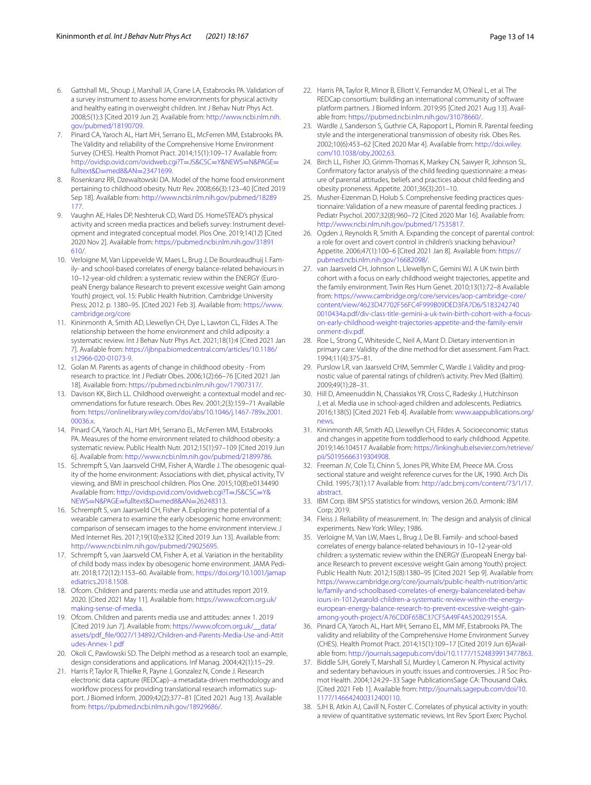- <span id="page-12-0"></span>6. Gattshall ML, Shoup J, Marshall JA, Crane LA, Estabrooks PA. Validation of a survey instrument to assess home environments for physical activity and healthy eating in overweight children. Int J Behav Nutr Phys Act. 2008;5(1):3 [Cited 2019 Jun 2]. Available from: [http://www.ncbi.nlm.nih.](http://www.ncbi.nlm.nih.gov/pubmed/18190709) [gov/pubmed/18190709.](http://www.ncbi.nlm.nih.gov/pubmed/18190709)
- 7. Pinard CA, Yaroch AL, Hart MH, Serrano EL, McFerren MM, Estabrooks PA. The Validity and reliability of the Comprehensive Home Environment Survey (CHES). Health Promot Pract. 2014;15(1):109–17 Available from: [http://ovidsp.ovid.com/ovidweb.cgi?T](http://ovidsp.ovid.com/ovidweb.cgi?T=JS&CSC=Y&NEWS=N&PAGE=fulltext&D=med8&AN=23471699)=JS&CSC=Y&NEWS=N&PAGE= fulltext&D=med8&AN=23471699.
- <span id="page-12-1"></span>8. [Rosenkranz RR, Dzewaltowski DA.](http://ovidsp.ovid.com/ovidweb.cgi?T=JS&CSC=Y&NEWS=N&PAGE=fulltext&D=med8&AN=23471699) Model of the home food environment pertaining to childhood obesity. Nutr Rev. 2008;66(3):123–40 [Cited 2019 Sep 18]. Available from: [http://www.ncbi.nlm.nih.gov/pubmed/18289](http://www.ncbi.nlm.nih.gov/pubmed/18289177) [177.](http://www.ncbi.nlm.nih.gov/pubmed/18289177)
- <span id="page-12-2"></span>9. Vaughn AE, Hales DP, Neshteruk CD, Ward DS. HomeSTEAD's physical activity and screen media practices and beliefs survey: Instrument development and integrated conceptual model. Plos One. 2019;14(12) [Cited 2020 Nov 2]. Available from: [https://pubmed.ncbi.nlm.nih.gov/31891](https://pubmed.ncbi.nlm.nih.gov/31891610/) [610/](https://pubmed.ncbi.nlm.nih.gov/31891610/).
- <span id="page-12-3"></span>10. Verloigne M, Van Lippevelde W, Maes L, Brug J, De Bourdeaudhuij I. Family- and school-based correlates of energy balance-related behaviours in 10–12-year-old children: a systematic review within the ENERGY (EuropeaN Energy balance Research to prevent excessive weight Gain among Youth) project, vol. 15: Public Health Nutrition. Cambridge University Press; 2012. p. 1380–95. [Cited 2021 Feb 3]. Available from: [https://www.](https://www.cambridge.org/core) [cambridge.org/core](https://www.cambridge.org/core)
- <span id="page-12-4"></span>11. Kininmonth A, Smith AD, Llewellyn CH, Dye L, Lawton CL, Fildes A. The relationship between the home environment and child adiposity: a systematic review. Int J Behav Nutr Phys Act. 2021;18(1):4 [Cited 2021 Jan 7]. Available from: [https://ijbnpa.biomedcentral.com/articles/10.1186/](http://dx.doi.org/10.1186/s12966-020-01073-9) [s12966-020-01073-9](http://dx.doi.org/10.1186/s12966-020-01073-9).
- <span id="page-12-5"></span>12. Golan M. Parents as agents of change in childhood obesity - From research to practice. Int J Pediatr Obes. 2006;1(2):66–76 [Cited 2021 Jan 18]. Available from: [https://pubmed.ncbi.nlm.nih.gov/17907317/.](https://pubmed.ncbi.nlm.nih.gov/17907317/)
- <span id="page-12-6"></span>13. Davison KK, Birch LL. Childhood overweight: a contextual model and recommendations for future research. Obes Rev. 2001;2(3):159–71 Available from: [https://onlinelibrary.wiley.com/doi/abs/10.1046/j.1467-789x.2001.](http://dx.doi.org/10.1046/j.1467-789x.2001.00036.x) [00036.x.](http://dx.doi.org/10.1046/j.1467-789x.2001.00036.x)
- <span id="page-12-7"></span>14. Pinard CA, Yaroch AL, Hart MH, Serrano EL, McFerren MM, Estabrooks PA. Measures of the home environment related to childhood obesity: a systematic review. Public Health Nutr. 2012;15(1):97–109 [Cited 2019 Jun 6]. Available from:<http://www.ncbi.nlm.nih.gov/pubmed/21899786>.
- <span id="page-12-8"></span>15. Schrempft S, Van Jaarsveld CHM, Fisher A, Wardle J. The obesogenic quality of the home environment: Associations with diet, physical activity, TV viewing, and BMI in preschool children. Plos One. 2015;10(8):e0134490 Available from: [http://ovidsp.ovid.com/ovidweb.cgi?T](http://ovidsp.ovid.com/ovidweb.cgi?T=JS&CSC=Y&NEWS=N&PAGE=fulltext&D=med8&AN=26248313)=JS&CSC=Y& NEWS=N&PAGE=fulltext&D=med8&AN=26248313.
- <span id="page-12-9"></span>16. [Schrempft S, van Jaarsveld CH, Fisher A. Exploring the](http://ovidsp.ovid.com/ovidweb.cgi?T=JS&CSC=Y&NEWS=N&PAGE=fulltext&D=med8&AN=26248313) potential of a wearable camera to examine the early obesogenic home environment: comparison of sensecam images to the home environment interview. J Med Internet Res. 2017;19(10):e332 [Cited 2019 Jun 13]. Available from: [http://www.ncbi.nlm.nih.gov/pubmed/29025695.](http://www.ncbi.nlm.nih.gov/pubmed/29025695)
- <span id="page-12-10"></span>17. Schrempft S, van Jaarsveld CM, Fisher A, et al. Variation in the heritability of child body mass index by obesogenic home environment. JAMA Pediatr. 2018;172(12):1153–60. Available from:. [https://doi.org/10.1001/jamap](https://doi.org/10.1001/jamapediatrics.2018.1508) [ediatrics.2018.1508](https://doi.org/10.1001/jamapediatrics.2018.1508).
- <span id="page-12-11"></span>18. Ofcom. Children and parents: media use and attitudes report 2019. 2020. [Cited 2021 May 11]. Available from: [https://www.ofcom.org.uk/](https://www.ofcom.org.uk/making-sense-of-media) [making-sense-of-media.](https://www.ofcom.org.uk/making-sense-of-media)
- <span id="page-12-12"></span>19. Ofcom. Children and parents media use and attitudes: annex 1. 2019 [Cited 2019 Jun 7]. Available from: [https://www.ofcom.org.uk/\\_\\_data/](https://www.ofcom.org.uk/__data/assets/pdf_file/0027/134892/Children-and-Parents-Media-Use-and-Attitudes-Annex-1.pdf) [assets/pdf\\_fle/0027/134892/Children-and-Parents-Media-Use-and-Attit](https://www.ofcom.org.uk/__data/assets/pdf_file/0027/134892/Children-and-Parents-Media-Use-and-Attitudes-Annex-1.pdf) [udes-Annex-1.pdf](https://www.ofcom.org.uk/__data/assets/pdf_file/0027/134892/Children-and-Parents-Media-Use-and-Attitudes-Annex-1.pdf)
- <span id="page-12-13"></span>20. Okoli C, Pawlowski SD. The Delphi method as a research tool: an example, design considerations and applications. Inf Manag. 2004;42(1):15–29.
- <span id="page-12-14"></span>21. Harris P, Taylor R, Thielke R, Payne J, Gonzalez N, Conde J. Research electronic data capture (REDCap)--a metadata-driven methodology and workflow process for providing translational research informatics support. J Biomed Inform. 2009;42(2):377–81 [Cited 2021 Aug 13]. Available from: [https://pubmed.ncbi.nlm.nih.gov/18929686/.](https://pubmed.ncbi.nlm.nih.gov/18929686/)
- <span id="page-12-15"></span>22. Harris PA, Taylor R, Minor B, Elliott V, Fernandez M, O'Neal L, et al. The REDCap consortium: building an international community of software platform partners. J Biomed Inform. 2019;95 [Cited 2021 Aug 13]. Available from:<https://pubmed.ncbi.nlm.nih.gov/31078660/>.
- <span id="page-12-16"></span>23. Wardle J, Sanderson S, Guthrie CA, Rapoport L, Plomin R. Parental feeding style and the intergenerational transmission of obesity risk. Obes Res. 2002;10(6):453–62 [Cited 2020 Mar 4]. Available from: [http://doi.wiley.](http://dx.doi.org/10.1038/oby.2002.63) [com/10.1038/oby.2002.63](http://dx.doi.org/10.1038/oby.2002.63).
- 24. Birch LL, Fisher JO, Grimm-Thomas K, Markey CN, Sawyer R, Johnson SL. Confrmatory factor analysis of the child feeding questionnaire: a measure of parental attitudes, beliefs and practices about child feeding and obesity proneness. Appetite. 2001;36(3):201–10.
- 25. Musher-Eizenman D, Holub S. Comprehensive feeding practices questionnaire: Validation of a new measure of parental feeding practices. J Pediatr Psychol. 2007;32(8):960–72 [Cited 2020 Mar 16]. Available from: [http://www.ncbi.nlm.nih.gov/pubmed/17535817.](http://www.ncbi.nlm.nih.gov/pubmed/17535817)
- <span id="page-12-17"></span>26. Ogden J, Reynolds R, Smith A. Expanding the concept of parental control: a role for overt and covert control in children's snacking behaviour? Appetite. 2006;47(1):100–6 [Cited 2021 Jan 8]. Available from: [https://](https://pubmed.ncbi.nlm.nih.gov/16682098/) [pubmed.ncbi.nlm.nih.gov/16682098/](https://pubmed.ncbi.nlm.nih.gov/16682098/).
- <span id="page-12-18"></span>27. van Jaarsveld CH, Johnson L, Llewellyn C, Gemini WJ. A UK twin birth cohort with a focus on early childhood weight trajectories, appetite and the family environment. Twin Res Hum Genet. 2010;13(1):72–8 Available from: [https://www.cambridge.org/core/services/aop-cambridge-core/](https://www.cambridge.org/core/services/aop-cambridge-core/content/view/4623D47702F56FC4F999B09DED3FA7D6/S1832427400010434a.pdf/div-class-title-gemini-a-uk-twin-birth-cohort-with-a-focus-on-early-childhood-weight-trajectories-appetite-and-the-family-environment-div.pdf) [content/view/4623D47702F56FC4F999B09DED3FA7D6/S183242740](https://www.cambridge.org/core/services/aop-cambridge-core/content/view/4623D47702F56FC4F999B09DED3FA7D6/S1832427400010434a.pdf/div-class-title-gemini-a-uk-twin-birth-cohort-with-a-focus-on-early-childhood-weight-trajectories-appetite-and-the-family-environment-div.pdf) [0010434a.pdf/div-class-title-gemini-a-uk-twin-birth-cohort-with-a-focus](https://www.cambridge.org/core/services/aop-cambridge-core/content/view/4623D47702F56FC4F999B09DED3FA7D6/S1832427400010434a.pdf/div-class-title-gemini-a-uk-twin-birth-cohort-with-a-focus-on-early-childhood-weight-trajectories-appetite-and-the-family-environment-div.pdf)[on-early-childhood-weight-trajectories-appetite-and-the-family-envir](https://www.cambridge.org/core/services/aop-cambridge-core/content/view/4623D47702F56FC4F999B09DED3FA7D6/S1832427400010434a.pdf/div-class-title-gemini-a-uk-twin-birth-cohort-with-a-focus-on-early-childhood-weight-trajectories-appetite-and-the-family-environment-div.pdf) [onment-div.pdf](https://www.cambridge.org/core/services/aop-cambridge-core/content/view/4623D47702F56FC4F999B09DED3FA7D6/S1832427400010434a.pdf/div-class-title-gemini-a-uk-twin-birth-cohort-with-a-focus-on-early-childhood-weight-trajectories-appetite-and-the-family-environment-div.pdf).
- <span id="page-12-19"></span>28. Roe L, Strong C, Whiteside C, Neil A, Mant D. Dietary intervention in primary care: Validity of the dine method for diet assessment. Fam Pract. 1994;11(4):375–81.
- <span id="page-12-20"></span>29. Purslow LR, van Jaarsveld CHM, Semmler C, Wardle J. Validity and prognostic value of parental ratings of children's activity. Prev Med (Baltim). 2009;49(1):28–31.
- <span id="page-12-21"></span>30. Hill D, Ameenuddin N, Chassiakos YR, Cross C, Radesky J, Hutchinson J, et al. Media use in school-aged children and adolescents. Pediatrics. 2016;138(5) [Cited 2021 Feb 4]. Available from: [www.aappublications.org/](http://www.aappublications.org/news) [news.](http://www.aappublications.org/news)
- <span id="page-12-22"></span>31. Kininmonth AR, Smith AD, Llewellyn CH, Fildes A. Socioeconomic status and changes in appetite from toddlerhood to early childhood. Appetite. 2019;146:104517 Available from: [https://linkinghub.elsevier.com/retrieve/](https://linkinghub.elsevier.com/retrieve/pii/S0195666319304908) [pii/S0195666319304908.](https://linkinghub.elsevier.com/retrieve/pii/S0195666319304908)
- <span id="page-12-23"></span>32. Freeman JV, Cole TJ, Chinn S, Jones PR, White EM, Preece MA. Cross sectional stature and weight reference curves for the UK, 1990. Arch Dis Child. 1995;73(1):17 Available from: [http://adc.bmj.com/content/73/1/17.](http://adc.bmj.com/content/73/1/17.abstract) [abstract.](http://adc.bmj.com/content/73/1/17.abstract)
- <span id="page-12-24"></span>33. IBM Corp. IBM SPSS statistics for windows, version 26.0. Armonk: IBM Corp; 2019.
- <span id="page-12-25"></span>34. Fleiss J. Reliability of measurement. In: The design and analysis of clinical experiments. New York: Wiley; 1986.
- <span id="page-12-26"></span>35. Verloigne M, Van LW, Maes L, Brug J, De BI. Family- and school-based correlates of energy balance-related behaviours in 10–12-year-old children: a systematic review within the ENERGY (EuropeaN Energy balance Research to prevent excessive weight Gain among Youth) project. Public Health Nutr. 2012;15(8):1380–95 [Cited 2021 Sep 9]. Available from: [https://www.cambridge.org/core/journals/public-health-nutrition/artic](https://www.cambridge.org/core/journals/public-health-nutrition/article/family-and-schoolbased-correlates-of-energy-balancerelated-behaviours-in-1012yearold-children-a-systematic-review-within-the-energy-european-energy-balance-research-to-prevent-excessive-weight-gain-among-youth-project/A76CD0F65BC37CF5A49F4A520029155A) [le/family-and-schoolbased-correlates-of-energy-balancerelated-behav](https://www.cambridge.org/core/journals/public-health-nutrition/article/family-and-schoolbased-correlates-of-energy-balancerelated-behaviours-in-1012yearold-children-a-systematic-review-within-the-energy-european-energy-balance-research-to-prevent-excessive-weight-gain-among-youth-project/A76CD0F65BC37CF5A49F4A520029155A) [iours-in-1012yearold-children-a-systematic-review-within-the-energy](https://www.cambridge.org/core/journals/public-health-nutrition/article/family-and-schoolbased-correlates-of-energy-balancerelated-behaviours-in-1012yearold-children-a-systematic-review-within-the-energy-european-energy-balance-research-to-prevent-excessive-weight-gain-among-youth-project/A76CD0F65BC37CF5A49F4A520029155A)[european-energy-balance-research-to-prevent-excessive-weight-gain](https://www.cambridge.org/core/journals/public-health-nutrition/article/family-and-schoolbased-correlates-of-energy-balancerelated-behaviours-in-1012yearold-children-a-systematic-review-within-the-energy-european-energy-balance-research-to-prevent-excessive-weight-gain-among-youth-project/A76CD0F65BC37CF5A49F4A520029155A)[among-youth-project/A76CD0F65BC37CF5A49F4A520029155A.](https://www.cambridge.org/core/journals/public-health-nutrition/article/family-and-schoolbased-correlates-of-energy-balancerelated-behaviours-in-1012yearold-children-a-systematic-review-within-the-energy-european-energy-balance-research-to-prevent-excessive-weight-gain-among-youth-project/A76CD0F65BC37CF5A49F4A520029155A)
- <span id="page-12-27"></span>36. Pinard CA, Yaroch AL, Hart MH, Serrano EL, MM MF, Estabrooks PA. The validity and reliability of the Comprehensive Home Environment Survey (CHES). Health Promot Pract. 2014;15(1):109–17 [Cited 2019 Jun 6]Available from: [http://journals.sagepub.com/doi/10.1177/1524839913477863.](http://dx.doi.org/10.1177/1524839913477863)
- <span id="page-12-28"></span>37. Biddle SJH, Gorely T, Marshall SJ, Murdey I, Cameron N. Physical activity and sedentary behaviours in youth: issues and controversies. J R Soc Promot Health. 2004;124:29–33 Sage PublicationsSage CA: Thousand Oaks. [Cited 2021 Feb 1]. Available from: [http://journals.sagepub.com/doi/10.](http://dx.doi.org/10.1177/146642400312400110) [1177/146642400312400110.](http://dx.doi.org/10.1177/146642400312400110)
- <span id="page-12-29"></span>38. SJH B, Atkin AJ, Cavill N, Foster C. Correlates of physical activity in youth: a review of quantitative systematic reviews. Int Rev Sport Exerc Psychol.